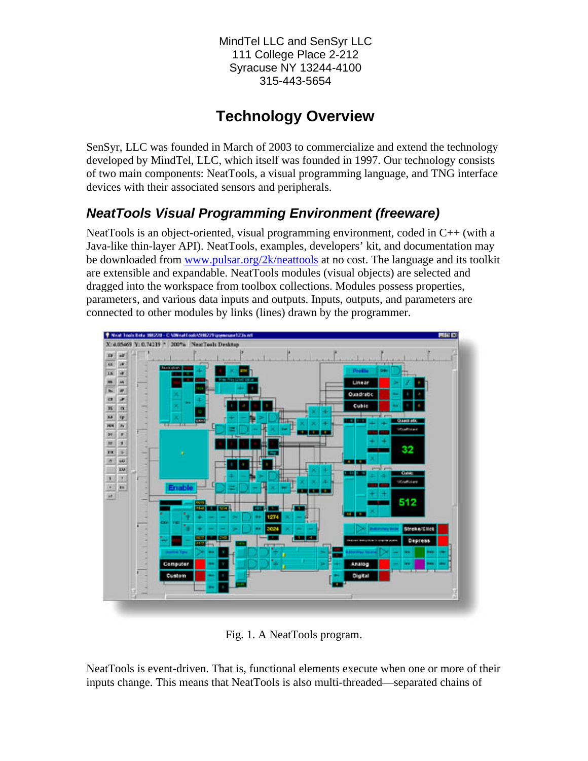MindTel LLC and SenSyr LLC 111 College Place 2-212 Syracuse NY 13244-4100 315-443-5654

# **Technology Overview**

SenSyr, LLC was founded in March of 2003 to commercialize and extend the technology developed by MindTel, LLC, which itself was founded in 1997. Our technology consists of two main components: NeatTools, a visual programming language, and TNG interface devices with their associated sensors and peripherals.

## *NeatTools Visual Programming Environment (freeware)*

NeatTools is an object-oriented, visual programming environment, coded in C++ (with a Java-like thin-layer API). NeatTools, examples, developers' kit, and documentation may be downloaded from www.pulsar.org/2k/neattools at no cost. The language and its toolkit are extensible and expandable. NeatTools modules (visual objects) are selected and dragged into the workspace from toolbox collections. Modules possess properties, parameters, and various data inputs and outputs. Inputs, outputs, and parameters are connected to other modules by links (lines) drawn by the programmer.



Fig. 1. A NeatTools program.

NeatTools is event-driven. That is, functional elements execute when one or more of their inputs change. This means that NeatTools is also multi-threaded—separated chains of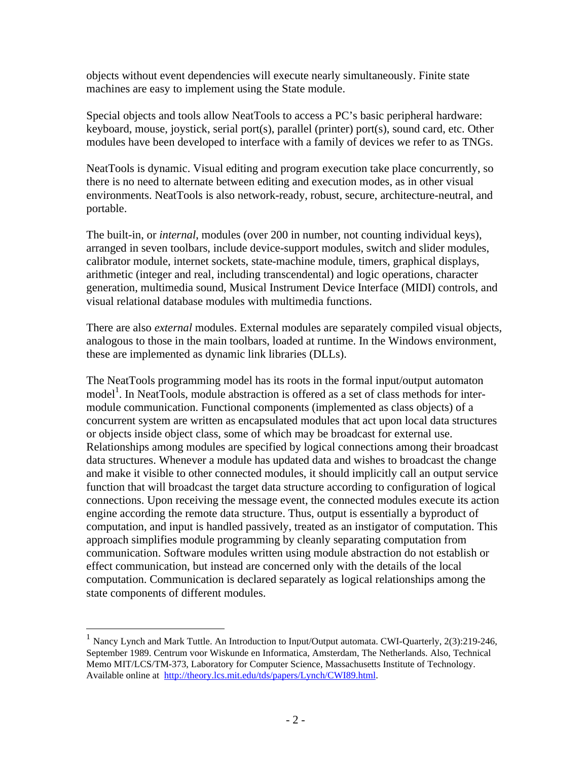objects without event dependencies will execute nearly simultaneously. Finite state machines are easy to implement using the State module.

Special objects and tools allow NeatTools to access a PC's basic peripheral hardware: keyboard, mouse, joystick, serial port(s), parallel (printer) port(s), sound card, etc. Other modules have been developed to interface with a family of devices we refer to as TNGs.

NeatTools is dynamic. Visual editing and program execution take place concurrently, so there is no need to alternate between editing and execution modes, as in other visual environments. NeatTools is also network-ready, robust, secure, architecture-neutral, and portable.

The built-in, or *internal*, modules (over 200 in number, not counting individual keys), arranged in seven toolbars, include device-support modules, switch and slider modules, calibrator module, internet sockets, state-machine module, timers, graphical displays, arithmetic (integer and real, including transcendental) and logic operations, character generation, multimedia sound, Musical Instrument Device Interface (MIDI) controls, and visual relational database modules with multimedia functions.

There are also *external* modules. External modules are separately compiled visual objects, analogous to those in the main toolbars, loaded at runtime. In the Windows environment, these are implemented as dynamic link libraries (DLLs).

The NeatTools programming model has its roots in the formal input/output automaton model<sup>1</sup>. In NeatTools, module abstraction is offered as a set of class methods for intermodule communication. Functional components (implemented as class objects) of a concurrent system are written as encapsulated modules that act upon local data structures or objects inside object class, some of which may be broadcast for external use. Relationships among modules are specified by logical connections among their broadcast data structures. Whenever a module has updated data and wishes to broadcast the change and make it visible to other connected modules, it should implicitly call an output service function that will broadcast the target data structure according to configuration of logical connections. Upon receiving the message event, the connected modules execute its action engine according the remote data structure. Thus, output is essentially a byproduct of computation, and input is handled passively, treated as an instigator of computation. This approach simplifies module programming by cleanly separating computation from communication. Software modules written using module abstraction do not establish or effect communication, but instead are concerned only with the details of the local computation. Communication is declared separately as logical relationships among the state components of different modules.

1

<sup>&</sup>lt;sup>1</sup> Nancy Lynch and Mark Tuttle. An Introduction to Input/Output automata. CWI-Quarterly, 2(3):219-246, September 1989. Centrum voor Wiskunde en Informatica, Amsterdam, The Netherlands. Also, Technical Memo MIT/LCS/TM-373, Laboratory for Computer Science, Massachusetts Institute of Technology. Available online at http://theory.lcs.mit.edu/tds/papers/Lynch/CWI89.html.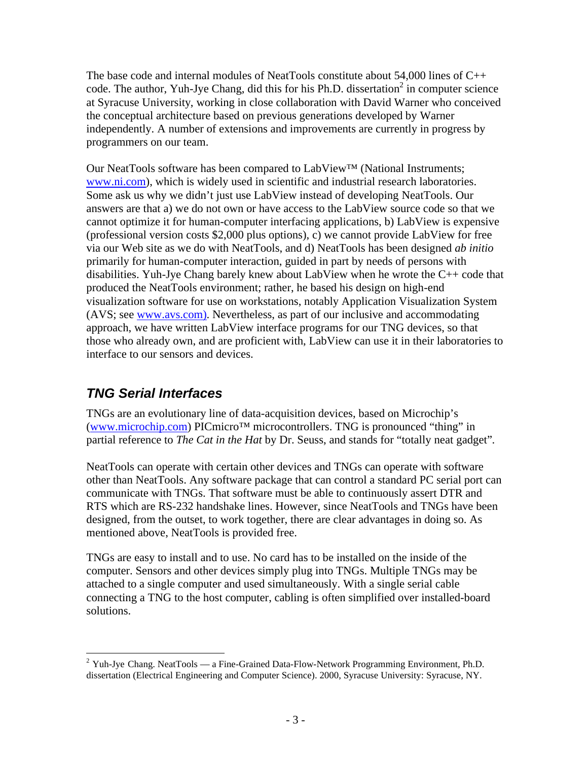The base code and internal modules of NeatTools constitute about  $54,000$  lines of  $C++$ code. The author, Yuh-Jye Chang, did this for his Ph.D. dissertation<sup>2</sup> in computer science at Syracuse University, working in close collaboration with David Warner who conceived the conceptual architecture based on previous generations developed by Warner independently. A number of extensions and improvements are currently in progress by programmers on our team.

Our NeatTools software has been compared to LabView™ (National Instruments; www.ni.com), which is widely used in scientific and industrial research laboratories. Some ask us why we didn't just use LabView instead of developing NeatTools. Our answers are that a) we do not own or have access to the LabView source code so that we cannot optimize it for human-computer interfacing applications, b) LabView is expensive (professional version costs \$2,000 plus options), c) we cannot provide LabView for free via our Web site as we do with NeatTools, and d) NeatTools has been designed *ab initio*  primarily for human-computer interaction, guided in part by needs of persons with disabilities. Yuh-Jye Chang barely knew about LabView when he wrote the C++ code that produced the NeatTools environment; rather, he based his design on high-end visualization software for use on workstations, notably Application Visualization System (AVS; see www.avs.com). Nevertheless, as part of our inclusive and accommodating approach, we have written LabView interface programs for our TNG devices, so that those who already own, and are proficient with, LabView can use it in their laboratories to interface to our sensors and devices.

## *TNG Serial Interfaces*

TNGs are an evolutionary line of data-acquisition devices, based on Microchip's (www.microchip.com) PICmicro™ microcontrollers. TNG is pronounced "thing" in partial reference to *The Cat in the Hat* by Dr. Seuss, and stands for "totally neat gadget".

NeatTools can operate with certain other devices and TNGs can operate with software other than NeatTools. Any software package that can control a standard PC serial port can communicate with TNGs. That software must be able to continuously assert DTR and RTS which are RS-232 handshake lines. However, since NeatTools and TNGs have been designed, from the outset, to work together, there are clear advantages in doing so. As mentioned above, NeatTools is provided free.

TNGs are easy to install and to use. No card has to be installed on the inside of the computer. Sensors and other devices simply plug into TNGs. Multiple TNGs may be attached to a single computer and used simultaneously. With a single serial cable connecting a TNG to the host computer, cabling is often simplified over installed-board solutions.

 $\overline{a}$  $2$  Yuh-Jye Chang. NeatTools — a Fine-Grained Data-Flow-Network Programming Environment, Ph.D. dissertation (Electrical Engineering and Computer Science). 2000, Syracuse University: Syracuse, NY.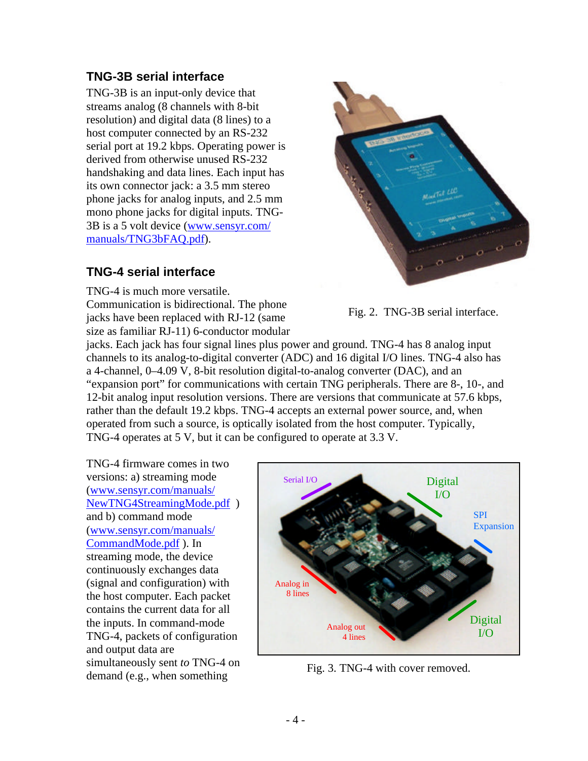#### **TNG-3B serial interface**

TNG-3B is an input-only device that streams analog (8 channels with 8-bit resolution) and digital data (8 lines) to a host computer connected by an RS-232 serial port at 19.2 kbps. Operating power is derived from otherwise unused RS-232 handshaking and data lines. Each input has its own connector jack: a 3.5 mm stereo phone jacks for analog inputs, and 2.5 mm mono phone jacks for digital inputs. TNG-3B is a 5 volt device (www.sensyr.com/ manuals/TNG3bFAQ.pdf).

## **TNG-4 serial interface**

TNG-4 is much more versatile. Communication is bidirectional. The phone jacks have been replaced with RJ-12 (same size as familiar RJ-11) 6-conductor modular



Fig. 2. TNG-3B serial interface.

jacks. Each jack has four signal lines plus power and ground. TNG-4 has 8 analog input channels to its analog-to-digital converter (ADC) and 16 digital I/O lines. TNG-4 also has a 4-channel, 0–4.09 V, 8-bit resolution digital-to-analog converter (DAC), and an "expansion port" for communications with certain TNG peripherals. There are 8-, 10-, and 12-bit analog input resolution versions. There are versions that communicate at 57.6 kbps, rather than the default 19.2 kbps. TNG-4 accepts an external power source, and, when operated from such a source, is optically isolated from the host computer. Typically, TNG-4 operates at 5 V, but it can be configured to operate at 3.3 V.

TNG-4 firmware comes in two versions: a) streaming mode (www.sensyr.com/manuals/ NewTNG4StreamingMode.pdf ) and b) command mode (www.sensyr.com/manuals/ CommandMode.pdf ). In streaming mode, the device continuously exchanges data (signal and configuration) with the host computer. Each packet contains the current data for all the inputs. In command-mode TNG-4, packets of configuration and output data are simultaneously sent *to* TNG-4 on simultaneously sent to 1180-4 on<br>demand (e.g., when something Fig. 3. TNG-4 with cover removed.

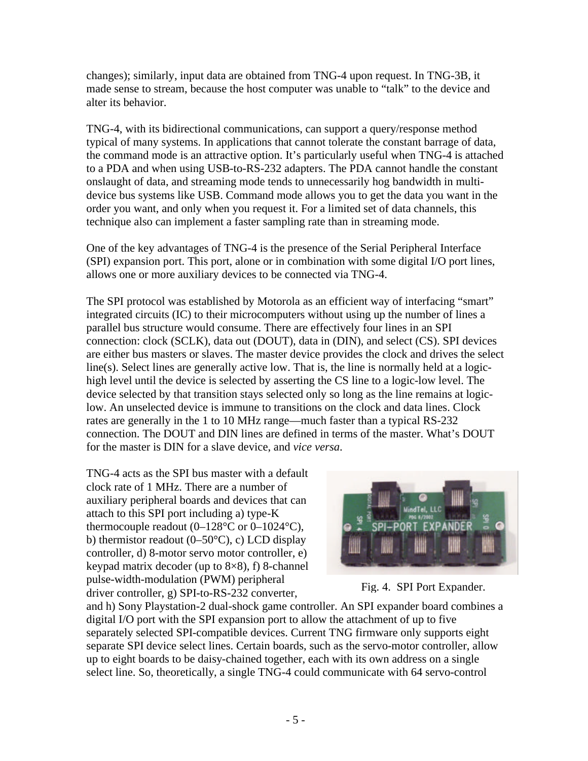changes); similarly, input data are obtained from TNG-4 upon request. In TNG-3B, it made sense to stream, because the host computer was unable to "talk" to the device and alter its behavior.

TNG-4, with its bidirectional communications, can support a query/response method typical of many systems. In applications that cannot tolerate the constant barrage of data, the command mode is an attractive option. It's particularly useful when TNG-4 is attached to a PDA and when using USB-to-RS-232 adapters. The PDA cannot handle the constant onslaught of data, and streaming mode tends to unnecessarily hog bandwidth in multidevice bus systems like USB. Command mode allows you to get the data you want in the order you want, and only when you request it. For a limited set of data channels, this technique also can implement a faster sampling rate than in streaming mode.

One of the key advantages of TNG-4 is the presence of the Serial Peripheral Interface (SPI) expansion port. This port, alone or in combination with some digital I/O port lines, allows one or more auxiliary devices to be connected via TNG-4.

The SPI protocol was established by Motorola as an efficient way of interfacing "smart" integrated circuits (IC) to their microcomputers without using up the number of lines a parallel bus structure would consume. There are effectively four lines in an SPI connection: clock (SCLK), data out (DOUT), data in (DIN), and select (CS). SPI devices are either bus masters or slaves. The master device provides the clock and drives the select line(s). Select lines are generally active low. That is, the line is normally held at a logichigh level until the device is selected by asserting the CS line to a logic-low level. The device selected by that transition stays selected only so long as the line remains at logiclow. An unselected device is immune to transitions on the clock and data lines. Clock rates are generally in the 1 to 10 MHz range—much faster than a typical RS-232 connection. The DOUT and DIN lines are defined in terms of the master. What's DOUT for the master is DIN for a slave device, and *vice versa*.

TNG-4 acts as the SPI bus master with a default clock rate of 1 MHz. There are a number of auxiliary peripheral boards and devices that can attach to this SPI port including a) type-K thermocouple readout  $(0-128^{\circ}C)$  or  $0-1024^{\circ}C$ ), b) thermistor readout  $(0-50^{\circ}C)$ , c) LCD display controller, d) 8-motor servo motor controller, e) keypad matrix decoder (up to 8×8), f) 8-channel pulse-width-modulation (PWM) peripheral driver controller, g) SPI-to-RS-232 converter,





and h) Sony Playstation-2 dual-shock game controller. An SPI expander board combines a digital I/O port with the SPI expansion port to allow the attachment of up to five separately selected SPI-compatible devices. Current TNG firmware only supports eight separate SPI device select lines. Certain boards, such as the servo-motor controller, allow up to eight boards to be daisy-chained together, each with its own address on a single select line. So, theoretically, a single TNG-4 could communicate with 64 servo-control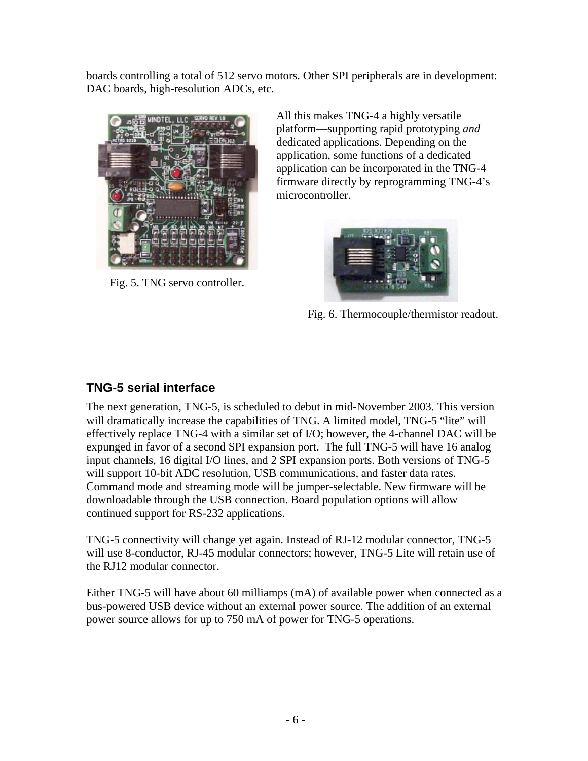boards controlling a total of 512 servo motors. Other SPI peripherals are in development: DAC boards, high-resolution ADCs, etc.



Fig. 5. TNG servo controller.

All this makes TNG-4 a highly versatile platform—supporting rapid prototyping *and* dedicated applications. Depending on the application, some functions of a dedicated application can be incorporated in the TNG-4 firmware directly by reprogramming TNG-4's microcontroller.



Fig. 6. Thermocouple/thermistor readout.

## **TNG-5 serial interface**

The next generation, TNG-5, is scheduled to debut in mid-November 2003. This version will dramatically increase the capabilities of TNG. A limited model, TNG-5 "lite" will effectively replace TNG-4 with a similar set of I/O; however, the 4-channel DAC will be expunged in favor of a second SPI expansion port. The full TNG-5 will have 16 analog input channels, 16 digital I/O lines, and 2 SPI expansion ports. Both versions of TNG-5 will support 10-bit ADC resolution, USB communications, and faster data rates. Command mode and streaming mode will be jumper-selectable. New firmware will be downloadable through the USB connection. Board population options will allow continued support for RS-232 applications.

TNG-5 connectivity will change yet again. Instead of RJ-12 modular connector, TNG-5 will use 8-conductor, RJ-45 modular connectors; however, TNG-5 Lite will retain use of the RJ12 modular connector.

Either TNG-5 will have about 60 milliamps (mA) of available power when connected as a bus-powered USB device without an external power source. The addition of an external power source allows for up to 750 mA of power for TNG-5 operations.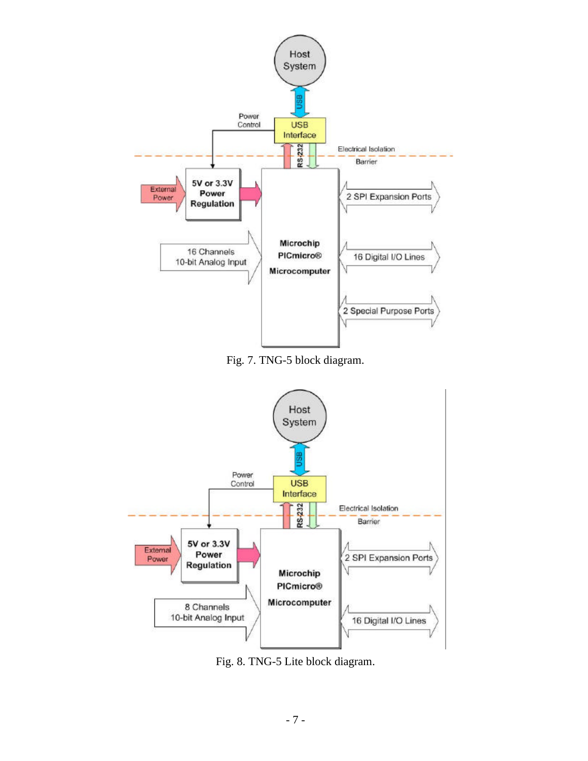

Fig. 7. TNG-5 block diagram.



Fig. 8. TNG-5 Lite block diagram.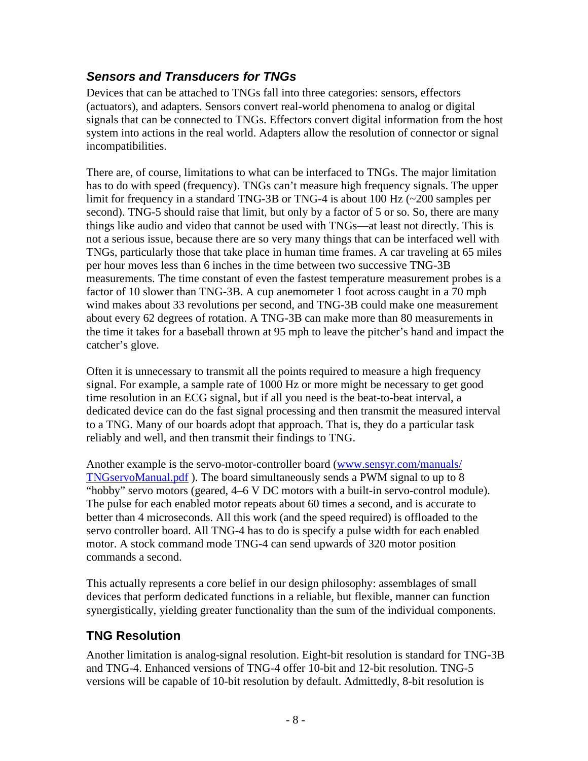## *Sensors and Transducers for TNGs*

Devices that can be attached to TNGs fall into three categories: sensors, effectors (actuators), and adapters. Sensors convert real-world phenomena to analog or digital signals that can be connected to TNGs. Effectors convert digital information from the host system into actions in the real world. Adapters allow the resolution of connector or signal incompatibilities.

There are, of course, limitations to what can be interfaced to TNGs. The major limitation has to do with speed (frequency). TNGs can't measure high frequency signals. The upper limit for frequency in a standard TNG-3B or TNG-4 is about 100 Hz (~200 samples per second). TNG-5 should raise that limit, but only by a factor of 5 or so. So, there are many things like audio and video that cannot be used with TNGs—at least not directly. This is not a serious issue, because there are so very many things that can be interfaced well with TNGs, particularly those that take place in human time frames. A car traveling at 65 miles per hour moves less than 6 inches in the time between two successive TNG-3B measurements. The time constant of even the fastest temperature measurement probes is a factor of 10 slower than TNG-3B. A cup anemometer 1 foot across caught in a 70 mph wind makes about 33 revolutions per second, and TNG-3B could make one measurement about every 62 degrees of rotation. A TNG-3B can make more than 80 measurements in the time it takes for a baseball thrown at 95 mph to leave the pitcher's hand and impact the catcher's glove.

Often it is unnecessary to transmit all the points required to measure a high frequency signal. For example, a sample rate of 1000 Hz or more might be necessary to get good time resolution in an ECG signal, but if all you need is the beat-to-beat interval, a dedicated device can do the fast signal processing and then transmit the measured interval to a TNG. Many of our boards adopt that approach. That is, they do a particular task reliably and well, and then transmit their findings to TNG.

Another example is the servo-motor-controller board (www.sensyr.com/manuals/ TNGservoManual.pdf ). The board simultaneously sends a PWM signal to up to 8 "hobby" servo motors (geared, 4–6 V DC motors with a built-in servo-control module). The pulse for each enabled motor repeats about 60 times a second, and is accurate to better than 4 microseconds. All this work (and the speed required) is offloaded to the servo controller board. All TNG-4 has to do is specify a pulse width for each enabled motor. A stock command mode TNG-4 can send upwards of 320 motor position commands a second.

This actually represents a core belief in our design philosophy: assemblages of small devices that perform dedicated functions in a reliable, but flexible, manner can function synergistically, yielding greater functionality than the sum of the individual components.

## **TNG Resolution**

Another limitation is analog-signal resolution. Eight-bit resolution is standard for TNG-3B and TNG-4. Enhanced versions of TNG-4 offer 10-bit and 12-bit resolution. TNG-5 versions will be capable of 10-bit resolution by default. Admittedly, 8-bit resolution is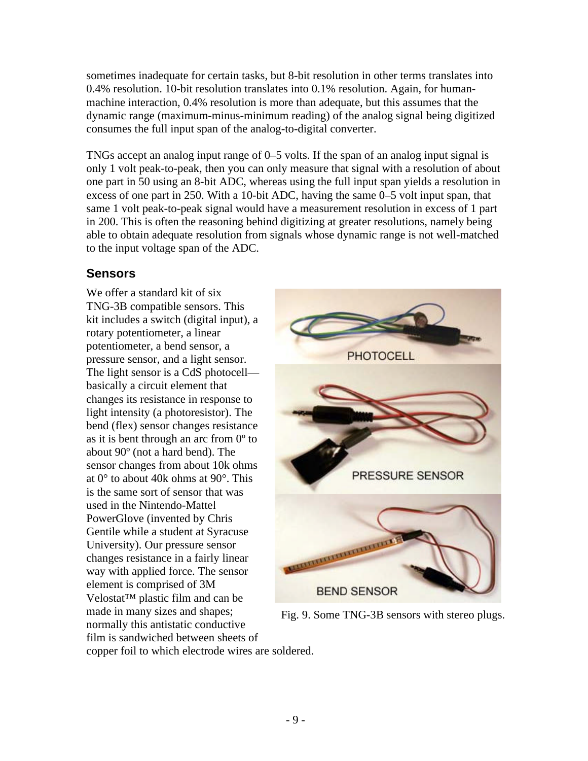sometimes inadequate for certain tasks, but 8-bit resolution in other terms translates into 0.4% resolution. 10-bit resolution translates into 0.1% resolution. Again, for humanmachine interaction, 0.4% resolution is more than adequate, but this assumes that the dynamic range (maximum-minus-minimum reading) of the analog signal being digitized consumes the full input span of the analog-to-digital converter.

TNGs accept an analog input range of 0–5 volts. If the span of an analog input signal is only 1 volt peak-to-peak, then you can only measure that signal with a resolution of about one part in 50 using an 8-bit ADC, whereas using the full input span yields a resolution in excess of one part in 250. With a 10-bit ADC, having the same 0–5 volt input span, that same 1 volt peak-to-peak signal would have a measurement resolution in excess of 1 part in 200. This is often the reasoning behind digitizing at greater resolutions, namely being able to obtain adequate resolution from signals whose dynamic range is not well-matched to the input voltage span of the ADC.

## **Sensors**

We offer a standard kit of six TNG-3B compatible sensors. This kit includes a switch (digital input), a rotary potentiometer, a linear potentiometer, a bend sensor, a pressure sensor, and a light sensor. The light sensor is a CdS photocell basically a circuit element that changes its resistance in response to light intensity (a photoresistor). The bend (flex) sensor changes resistance as it is bent through an arc from 0º to about 90º (not a hard bend). The sensor changes from about 10k ohms at 0° to about 40k ohms at 90°. This is the same sort of sensor that was used in the Nintendo-Mattel PowerGlove (invented by Chris Gentile while a student at Syracuse University). Our pressure sensor changes resistance in a fairly linear way with applied force. The sensor element is comprised of 3M Velostat™ plastic film and can be made in many sizes and shapes; normally this antistatic conductive film is sandwiched between sheets of



Fig. 9. Some TNG-3B sensors with stereo plugs.

copper foil to which electrode wires are soldered.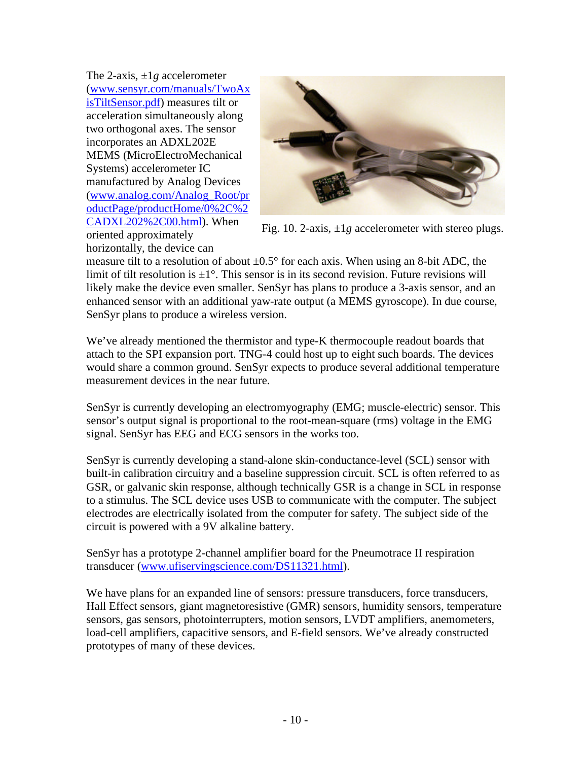The 2-axis, ±1*g* accelerometer (www.sensyr.com/manuals/TwoAx isTiltSensor.pdf) measures tilt or acceleration simultaneously along two orthogonal axes. The sensor incorporates an ADXL202E MEMS (MicroElectroMechanical Systems) accelerometer IC manufactured by Analog Devices (www.analog.com/Analog\_Root/pr oductPage/productHome/0%2C%2 CADXL202%2C00.html). When oriented approximately



Fig. 10. 2-axis, ±1*g* accelerometer with stereo plugs.

horizontally, the device can

measure tilt to a resolution of about  $\pm 0.5^{\circ}$  for each axis. When using an 8-bit ADC, the limit of tilt resolution is  $\pm 1^{\circ}$ . This sensor is in its second revision. Future revisions will likely make the device even smaller. SenSyr has plans to produce a 3-axis sensor, and an enhanced sensor with an additional yaw-rate output (a MEMS gyroscope). In due course, SenSyr plans to produce a wireless version.

We've already mentioned the thermistor and type-K thermocouple readout boards that attach to the SPI expansion port. TNG-4 could host up to eight such boards. The devices would share a common ground. SenSyr expects to produce several additional temperature measurement devices in the near future.

SenSyr is currently developing an electromyography (EMG; muscle-electric) sensor. This sensor's output signal is proportional to the root-mean-square (rms) voltage in the EMG signal. SenSyr has EEG and ECG sensors in the works too.

SenSyr is currently developing a stand-alone skin-conductance-level (SCL) sensor with built-in calibration circuitry and a baseline suppression circuit. SCL is often referred to as GSR, or galvanic skin response, although technically GSR is a change in SCL in response to a stimulus. The SCL device uses USB to communicate with the computer. The subject electrodes are electrically isolated from the computer for safety. The subject side of the circuit is powered with a 9V alkaline battery.

SenSyr has a prototype 2-channel amplifier board for the Pneumotrace II respiration transducer (www.ufiservingscience.com/DS11321.html).

We have plans for an expanded line of sensors: pressure transducers, force transducers, Hall Effect sensors, giant magnetoresistive (GMR) sensors, humidity sensors, temperature sensors, gas sensors, photointerrupters, motion sensors, LVDT amplifiers, anemometers, load-cell amplifiers, capacitive sensors, and E-field sensors. We've already constructed prototypes of many of these devices.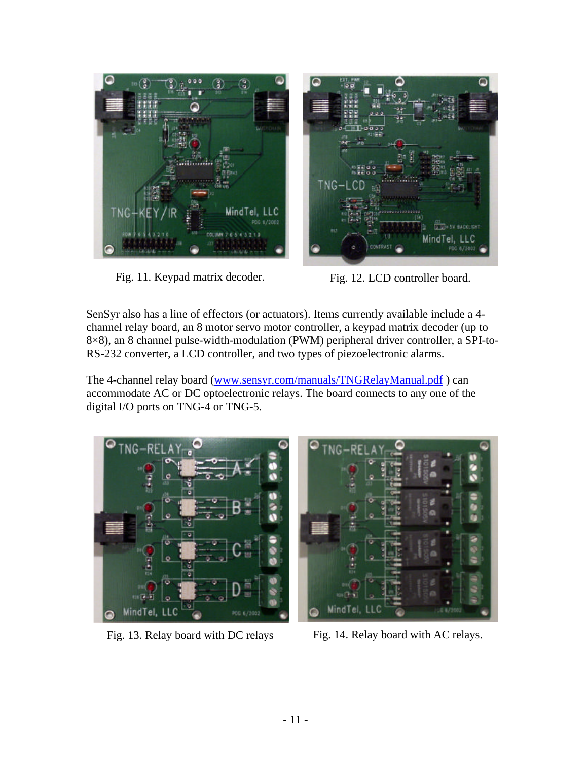

Fig. 11. Keypad matrix decoder. Fig. 12. LCD controller board.

SenSyr also has a line of effectors (or actuators). Items currently available include a 4 channel relay board, an 8 motor servo motor controller, a keypad matrix decoder (up to 8×8), an 8 channel pulse-width-modulation (PWM) peripheral driver controller, a SPI-to-RS-232 converter, a LCD controller, and two types of piezoelectronic alarms.

The 4-channel relay board (www.sensyr.com/manuals/TNGRelayManual.pdf) can accommodate AC or DC optoelectronic relays. The board connects to any one of the digital I/O ports on TNG-4 or TNG-5.





Fig. 13. Relay board with DC relays Fig. 14. Relay board with AC relays.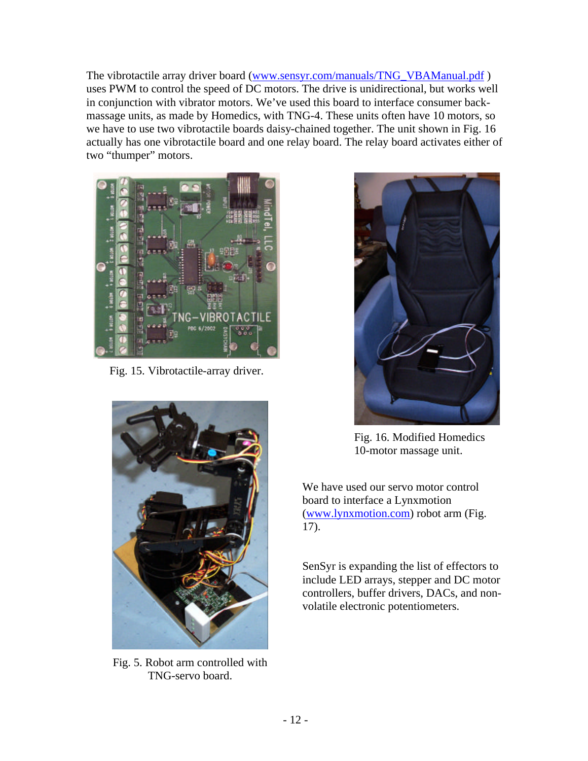The vibrotactile array driver board (www.sensyr.com/manuals/TNG\_VBAManual.pdf ) uses PWM to control the speed of DC motors. The drive is unidirectional, but works well in conjunction with vibrator motors. We've used this board to interface consumer backmassage units, as made by Homedics, with TNG-4. These units often have 10 motors, so we have to use two vibrotactile boards daisy-chained together. The unit shown in Fig. 16 actually has one vibrotactile board and one relay board. The relay board activates either of two "thumper" motors.



Fig. 15. Vibrotactile-array driver.



Fig. 5. Robot arm controlled with TNG-servo board.



Fig. 16. Modified Homedics 10-motor massage unit.

We have used our servo motor control board to interface a Lynxmotion (www.lynxmotion.com) robot arm (Fig. 17).

SenSyr is expanding the list of effectors to include LED arrays, stepper and DC motor controllers, buffer drivers, DACs, and nonvolatile electronic potentiometers.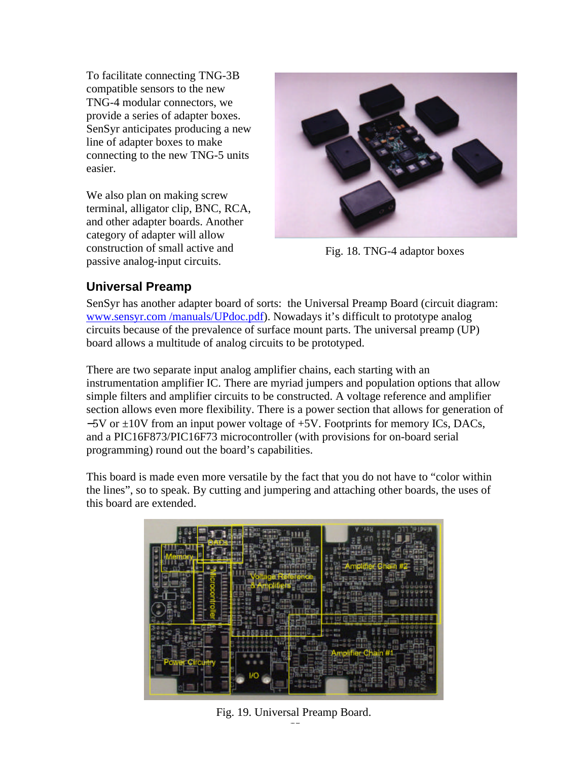To facilitate connecting TNG-3B compatible sensors to the new TNG-4 modular connectors, we provide a series of adapter boxes. SenSyr anticipates producing a new line of adapter boxes to make connecting to the new TNG-5 units easier.

We also plan on making screw terminal, alligator clip, BNC, RCA, and other adapter boards. Another category of adapter will allow construction of small active and passive analog-input circuits.



Fig. 18. TNG-4 adaptor boxes

#### **Universal Preamp**

SenSyr has another adapter board of sorts: the Universal Preamp Board (circuit diagram: www.sensyr.com /manuals/UPdoc.pdf). Nowadays it's difficult to prototype analog circuits because of the prevalence of surface mount parts. The universal preamp (UP) board allows a multitude of analog circuits to be prototyped.

There are two separate input analog amplifier chains, each starting with an instrumentation amplifier IC. There are myriad jumpers and population options that allow simple filters and amplifier circuits to be constructed. A voltage reference and amplifier section allows even more flexibility. There is a power section that allows for generation of  $-5V$  or  $\pm 10V$  from an input power voltage of  $+5V$ . Footprints for memory ICs, DACs, and a PIC16F873/PIC16F73 microcontroller (with provisions for on-board serial programming) round out the board's capabilities.

This board is made even more versatile by the fact that you do not have to "color within the lines", so to speak. By cutting and jumpering and attaching other boards, the uses of this board are extended.



Fig. 19. Universal Preamp Board.